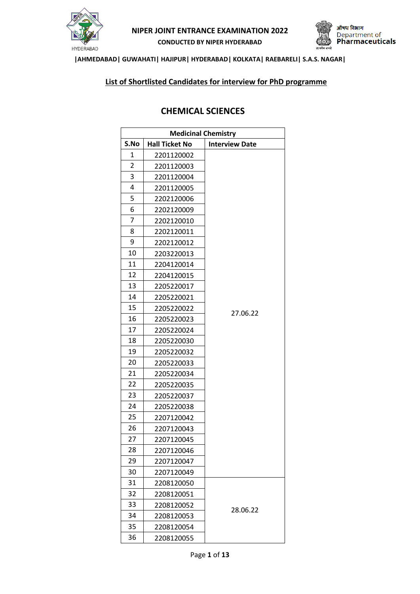



### **|AHMEDABAD| GUWAHATI| HAJIPUR| HYDERABAD| KOLKATA| RAEBARELI| S.A.S. NAGAR|**

### **List of Shortlisted Candidates for interview for PhD programme**

## **CHEMICAL SCIENCES**

| <b>Medicinal Chemistry</b> |                       |                       |
|----------------------------|-----------------------|-----------------------|
| S.No                       | <b>Hall Ticket No</b> | <b>Interview Date</b> |
| 1                          | 2201120002            |                       |
| 2                          | 2201120003            |                       |
| 3                          | 2201120004            |                       |
| 4                          | 2201120005            |                       |
| 5                          | 2202120006            |                       |
| 6                          | 2202120009            |                       |
| 7                          | 2202120010            |                       |
| 8                          | 2202120011            |                       |
| 9                          | 2202120012            |                       |
| 10                         | 2203220013            |                       |
| 11                         | 2204120014            |                       |
| 12                         | 2204120015            |                       |
| 13                         | 2205220017            |                       |
| 14                         | 2205220021            |                       |
| 15                         | 2205220022            | 27.06.22              |
| 16                         | 2205220023            |                       |
| 17                         | 2205220024            |                       |
| 18                         | 2205220030            |                       |
| 19                         | 2205220032            |                       |
| 20                         | 2205220033            |                       |
| 21                         | 2205220034            |                       |
| 22                         | 2205220035            |                       |
| 23                         | 2205220037            |                       |
| 24                         | 2205220038            |                       |
| 25                         | 2207120042            |                       |
| 26                         | 2207120043            |                       |
| 27                         | 2207120045            |                       |
| 28                         | 2207120046            |                       |
| 29                         | 2207120047            |                       |
| 30                         | 2207120049            |                       |
| 31                         | 2208120050            |                       |
| 32                         | 2208120051            |                       |
| 33                         | 2208120052            | 28.06.22              |
| 34                         | 2208120053            |                       |
| 35                         | 2208120054            |                       |
| 36                         | 2208120055            |                       |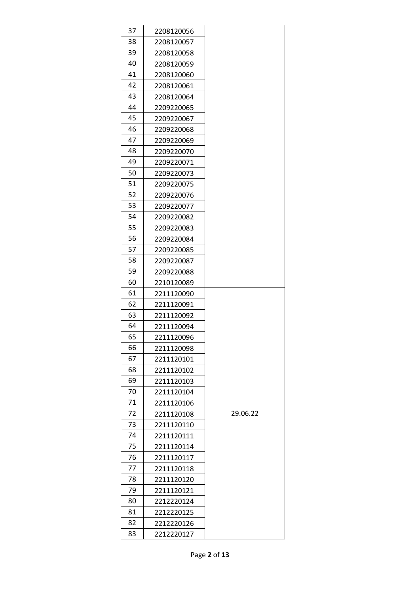| 37 | 2208120056 |          |
|----|------------|----------|
| 38 | 2208120057 |          |
| 39 | 2208120058 |          |
| 40 | 2208120059 |          |
| 41 | 2208120060 |          |
| 42 | 2208120061 |          |
| 43 | 2208120064 |          |
| 44 | 2209220065 |          |
| 45 | 2209220067 |          |
| 46 | 2209220068 |          |
| 47 | 2209220069 |          |
| 48 | 2209220070 |          |
| 49 | 2209220071 |          |
| 50 | 2209220073 |          |
| 51 | 2209220075 |          |
| 52 | 2209220076 |          |
| 53 | 2209220077 |          |
| 54 | 2209220082 |          |
| 55 | 2209220083 |          |
| 56 | 2209220084 |          |
| 57 | 2209220085 |          |
| 58 | 2209220087 |          |
| 59 | 2209220088 |          |
| 60 | 2210120089 |          |
| 61 | 2211120090 |          |
| 62 | 2211120091 |          |
| 63 | 2211120092 |          |
| 64 | 2211120094 |          |
| 65 | 2211120096 |          |
| 66 | 2211120098 |          |
| 67 | 2211120101 |          |
| 68 | 2211120102 |          |
| 69 | 2211120103 |          |
| 70 | 2211120104 |          |
| 71 | 2211120106 |          |
| 72 | 2211120108 | 29.06.22 |
| 73 | 2211120110 |          |
| 74 | 2211120111 |          |
| 75 | 2211120114 |          |
| 76 | 2211120117 |          |
| 77 | 2211120118 |          |
| 78 | 2211120120 |          |
| 79 | 2211120121 |          |
| 80 | 2212220124 |          |
| 81 | 2212220125 |          |
| 82 | 2212220126 |          |
| 83 | 2212220127 |          |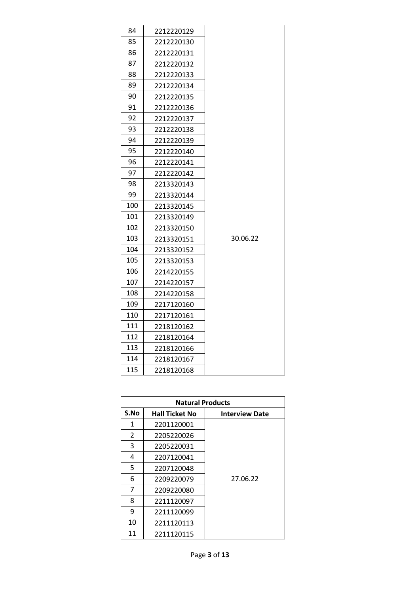| 84  | 2212220129 |          |
|-----|------------|----------|
| 85  | 2212220130 |          |
| 86  | 2212220131 |          |
| 87  | 2212220132 |          |
| 88  | 2212220133 |          |
| 89  | 2212220134 |          |
| 90  | 2212220135 |          |
| 91  | 2212220136 |          |
| 92  | 2212220137 |          |
| 93  | 2212220138 |          |
| 94  | 2212220139 |          |
| 95  | 2212220140 |          |
| 96  | 2212220141 |          |
| 97  | 2212220142 |          |
| 98  | 2213320143 |          |
| 99  | 2213320144 |          |
| 100 | 2213320145 |          |
| 101 | 2213320149 |          |
| 102 | 2213320150 |          |
| 103 | 2213320151 | 30.06.22 |
| 104 | 2213320152 |          |
| 105 | 2213320153 |          |
| 106 | 2214220155 |          |
| 107 | 2214220157 |          |
| 108 | 2214220158 |          |
| 109 | 2217120160 |          |
| 110 | 2217120161 |          |
| 111 | 2218120162 |          |
| 112 | 2218120164 |          |
| 113 | 2218120166 |          |
| 114 | 2218120167 |          |
| 115 | 2218120168 |          |

| <b>Natural Products</b> |                       |                       |
|-------------------------|-----------------------|-----------------------|
| S.No                    | <b>Hall Ticket No</b> | <b>Interview Date</b> |
| 1                       | 2201120001            |                       |
| $\overline{2}$          | 2205220026            |                       |
| 3                       | 2205220031            |                       |
| 4                       | 2207120041            |                       |
| 5                       | 2207120048            |                       |
| 6                       | 2209220079            | 27.06.22              |
| 7                       | 2209220080            |                       |
| 8                       | 2211120097            |                       |
| 9                       | 2211120099            |                       |
| 10                      | 2211120113            |                       |
| 11                      | 2211120115            |                       |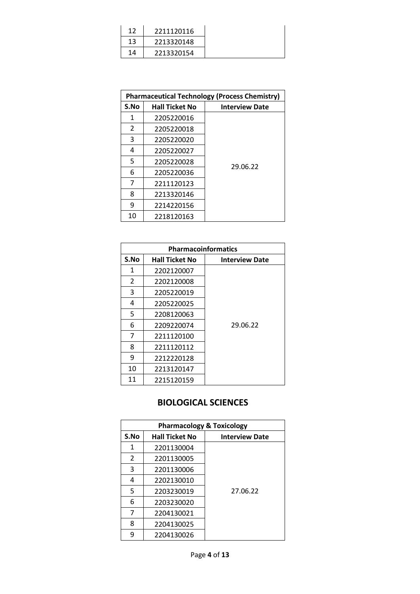| 12 | 2211120116 |
|----|------------|
| 13 | 2213320148 |
| 14 | 2213320154 |

| <b>Pharmaceutical Technology (Process Chemistry)</b> |                       |                       |  |
|------------------------------------------------------|-----------------------|-----------------------|--|
| S.No                                                 | <b>Hall Ticket No</b> | <b>Interview Date</b> |  |
| 1                                                    | 2205220016            |                       |  |
| 2                                                    | 2205220018            |                       |  |
| 3                                                    | 2205220020            |                       |  |
| 4                                                    | 2205220027            |                       |  |
| 5                                                    | 2205220028            | 29.06.22              |  |
| 6                                                    | 2205220036            |                       |  |
| 7                                                    | 2211120123            |                       |  |
| 8                                                    | 2213320146            |                       |  |
| 9                                                    | 2214220156            |                       |  |
| 10                                                   | 2218120163            |                       |  |

| <b>Pharmacoinformatics</b> |                       |                       |
|----------------------------|-----------------------|-----------------------|
| S.No                       | <b>Hall Ticket No</b> | <b>Interview Date</b> |
| 1                          | 2202120007            |                       |
| 2                          | 2202120008            |                       |
| 3                          | 2205220019            |                       |
| 4                          | 2205220025            |                       |
| 5                          | 2208120063            |                       |
| 6                          | 2209220074            | 29.06.22              |
| 7                          | 2211120100            |                       |
| 8                          | 2211120112            |                       |
| 9                          | 2212220128            |                       |
| 10                         | 2213120147            |                       |
| 11                         | 2215120159            |                       |

# **BIOLOGICAL SCIENCES**

| <b>Pharmacology &amp; Toxicology</b> |                       |                       |
|--------------------------------------|-----------------------|-----------------------|
| S.No                                 | <b>Hall Ticket No</b> | <b>Interview Date</b> |
| 1                                    | 2201130004            |                       |
| 2                                    | 2201130005            |                       |
| 3                                    | 2201130006            |                       |
| 4                                    | 2202130010            |                       |
| 5                                    | 2203230019            | 27.06.22              |
| 6                                    | 2203230020            |                       |
| 7                                    | 2204130021            |                       |
| 8                                    | 2204130025            |                       |
| q                                    | 2204130026            |                       |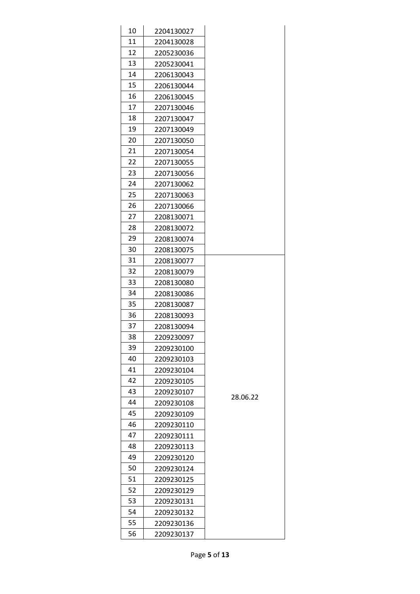| 10       | 2204130027 |          |
|----------|------------|----------|
| 11       | 2204130028 |          |
| 12       | 2205230036 |          |
| 13       | 2205230041 |          |
| 14       | 2206130043 |          |
| 15       | 2206130044 |          |
| 16       | 2206130045 |          |
| 17       | 2207130046 |          |
| 18       | 2207130047 |          |
| 19       | 2207130049 |          |
| 20       | 2207130050 |          |
| 21       | 2207130054 |          |
| 22       | 2207130055 |          |
| 23       | 2207130056 |          |
| 24       | 2207130062 |          |
| 25       | 2207130063 |          |
| 26       | 2207130066 |          |
| 27       | 2208130071 |          |
| 28       | 2208130072 |          |
| 29       | 2208130074 |          |
| 30       | 2208130075 |          |
| 31       | 2208130077 |          |
| 32       | 2208130079 |          |
| 33       | 2208130080 |          |
| 34       | 2208130086 |          |
| 35       | 2208130087 |          |
| 36       | 2208130093 |          |
| 37       | 2208130094 |          |
| 38       | 2209230097 |          |
| 39       | 2209230100 |          |
| 40       | 2209230103 |          |
| 41       | 2209230104 |          |
| 42       | 2209230105 |          |
| 43       | 2209230107 | 28.06.22 |
| 44       | 2209230108 |          |
| 45       | 2209230109 |          |
| 46       | 2209230110 |          |
| 47       | 2209230111 |          |
| 48       | 2209230113 |          |
| 49       | 2209230120 |          |
| 50       | 2209230124 |          |
| 51       | 2209230125 |          |
| 52       | 2209230129 |          |
| 53<br>54 | 2209230131 |          |
| 55       | 2209230132 |          |
| 56       | 2209230136 |          |
|          | 2209230137 |          |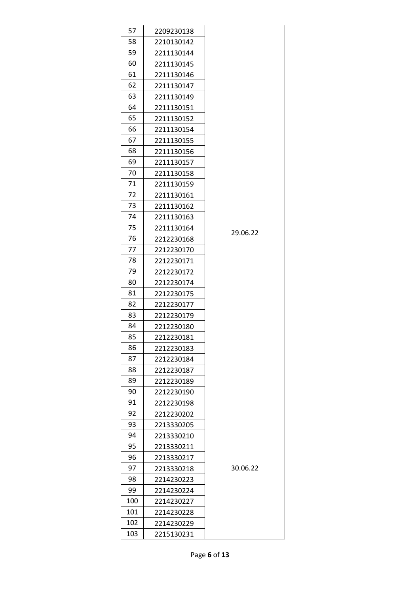| 57         | 2209230138 |          |
|------------|------------|----------|
| 58         | 2210130142 |          |
| 59         | 2211130144 |          |
| 60         | 2211130145 |          |
| 61         | 2211130146 |          |
| 62         | 2211130147 |          |
| 63         | 2211130149 |          |
| 64         | 2211130151 |          |
| 65         | 2211130152 |          |
| 66         | 2211130154 |          |
| 67         | 2211130155 |          |
| 68         | 2211130156 |          |
| 69         | 2211130157 |          |
| 70         | 2211130158 |          |
| 71         | 2211130159 |          |
| 72         | 2211130161 |          |
| 73         | 2211130162 |          |
| 74         | 2211130163 |          |
| 75         | 2211130164 | 29.06.22 |
| 76         | 2212230168 |          |
| 77         | 2212230170 |          |
| 78         | 2212230171 |          |
| 79         | 2212230172 |          |
| 80         | 2212230174 |          |
| 81         | 2212230175 |          |
| 82         | 2212230177 |          |
| 83         | 2212230179 |          |
| 84         | 2212230180 |          |
| 85         | 2212230181 |          |
| 86         | 2212230183 |          |
| 87         | 2212230184 |          |
| 88         | 2212230187 |          |
| 89         | 2212230189 |          |
| 90         | 2212230190 |          |
| 91         | 2212230198 |          |
| 92         | 2212230202 |          |
| 93<br>94   | 2213330205 |          |
|            | 2213330210 |          |
| 95         | 2213330211 |          |
| 96<br>97   | 2213330217 | 30.06.22 |
|            | 2213330218 |          |
| 98         | 2214230223 |          |
| 99         | 2214230224 |          |
| 100<br>101 | 2214230227 |          |
|            | 2214230228 |          |
| 102<br>103 | 2214230229 |          |
|            | 2215130231 |          |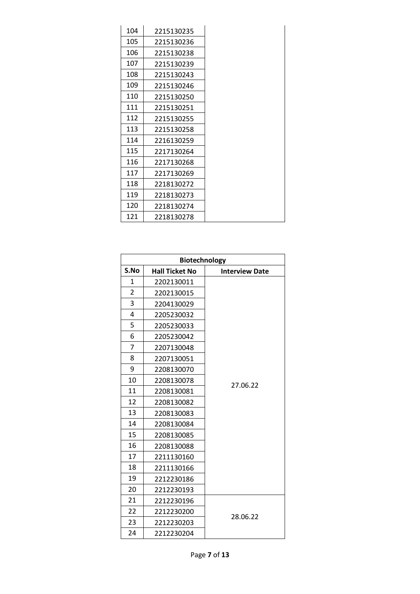| 104 | 2215130235 |
|-----|------------|
| 105 | 2215130236 |
| 106 | 2215130238 |
| 107 | 2215130239 |
| 108 | 2215130243 |
| 109 | 2215130246 |
| 110 | 2215130250 |
| 111 | 2215130251 |
| 112 | 2215130255 |
| 113 | 2215130258 |
| 114 | 2216130259 |
| 115 | 2217130264 |
| 116 | 2217130268 |
| 117 | 2217130269 |
| 118 | 2218130272 |
| 119 | 2218130273 |
| 120 | 2218130274 |
| 121 | 2218130278 |

| Biotechnology  |                       |                       |
|----------------|-----------------------|-----------------------|
| S.No           | <b>Hall Ticket No</b> | <b>Interview Date</b> |
| 1              | 2202130011            |                       |
| $\overline{2}$ | 2202130015            |                       |
| 3              | 2204130029            |                       |
| 4              | 2205230032            |                       |
| 5              | 2205230033            |                       |
| 6              | 2205230042            |                       |
| $\overline{7}$ | 2207130048            |                       |
| 8              | 2207130051            |                       |
| 9              | 2208130070            |                       |
| 10             | 2208130078            | 27.06.22              |
| 11             | 2208130081            |                       |
| 12             | 2208130082            |                       |
| 13             | 2208130083            |                       |
| 14             | 2208130084            |                       |
| 15             | 2208130085            |                       |
| 16             | 2208130088            |                       |
| 17             | 2211130160            |                       |
| 18             | 2211130166            |                       |
| 19             | 2212230186            |                       |
| 20             | 2212230193            |                       |
| 21             | 2212230196            |                       |
| 22             | 2212230200            | 28.06.22              |
| 23             | 2212230203            |                       |
| 24             | 2212230204            |                       |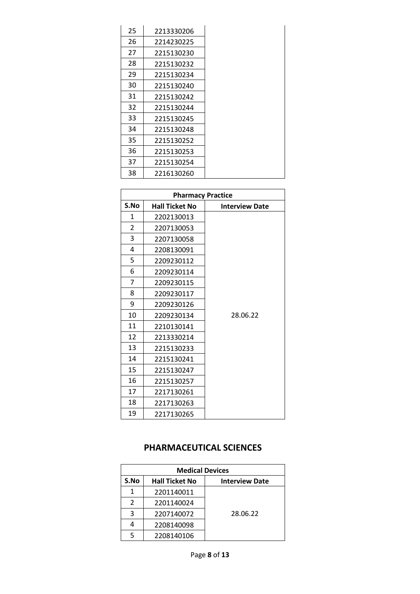| 25 | 2213330206 |
|----|------------|
| 26 | 2214230225 |
| 27 | 2215130230 |
| 28 | 2215130232 |
| 29 | 2215130234 |
| 30 | 2215130240 |
| 31 | 2215130242 |
| 32 | 2215130244 |
| 33 | 2215130245 |
| 34 | 2215130248 |
| 35 | 2215130252 |
| 36 | 2215130253 |
| 37 | 2215130254 |
| 38 | 2216130260 |

| <b>Pharmacy Practice</b> |                       |                       |
|--------------------------|-----------------------|-----------------------|
| S.No                     | <b>Hall Ticket No</b> | <b>Interview Date</b> |
| 1                        | 2202130013            |                       |
| $\overline{2}$           | 2207130053            |                       |
| 3                        | 2207130058            |                       |
| 4                        | 2208130091            |                       |
| 5                        | 2209230112            |                       |
| 6                        | 2209230114            |                       |
| 7                        | 2209230115            |                       |
| 8                        | 2209230117            |                       |
| 9                        | 2209230126            |                       |
| 10                       | 2209230134            | 28.06.22              |
| 11                       | 2210130141            |                       |
| 12                       | 2213330214            |                       |
| 13                       | 2215130233            |                       |
| 14                       | 2215130241            |                       |
| 15                       | 2215130247            |                       |
| 16                       | 2215130257            |                       |
| 17                       | 2217130261            |                       |
| 18                       | 2217130263            |                       |
| 19                       | 2217130265            |                       |

## **PHARMACEUTICAL SCIENCES**

| <b>Medical Devices</b> |                       |                       |
|------------------------|-----------------------|-----------------------|
| S.No                   | <b>Hall Ticket No</b> | <b>Interview Date</b> |
| 1                      | 2201140011            |                       |
| 2                      | 2201140024            |                       |
| ર                      | 2207140072            | 28.06.22              |
|                        | 2208140098            |                       |
|                        | 2208140106            |                       |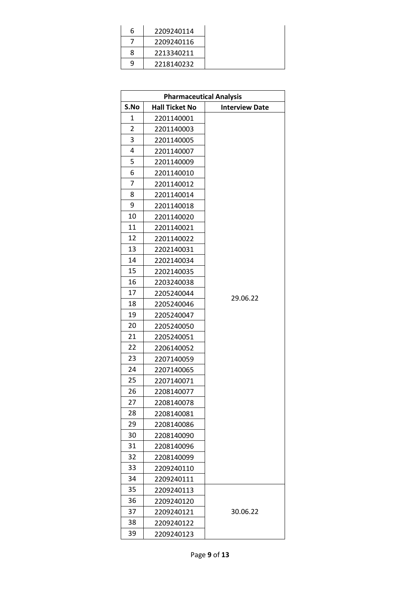| 6 | 2209240114 |
|---|------------|
|   | 2209240116 |
| 8 | 2213340211 |
| q | 2218140232 |

| <b>Pharmaceutical Analysis</b> |                       |                       |
|--------------------------------|-----------------------|-----------------------|
| S.No                           | <b>Hall Ticket No</b> | <b>Interview Date</b> |
| 1                              | 2201140001            |                       |
| $\overline{2}$                 | 2201140003            |                       |
| 3                              | 2201140005            |                       |
| 4                              | 2201140007            |                       |
| 5                              | 2201140009            |                       |
| 6                              | 2201140010            |                       |
| 7                              | 2201140012            |                       |
| 8                              | 2201140014            |                       |
| 9                              | 2201140018            |                       |
| 10                             | 2201140020            |                       |
| 11                             | 2201140021            |                       |
| 12                             | 2201140022            |                       |
| 13                             | 2202140031            |                       |
| 14                             | 2202140034            |                       |
| 15                             | 2202140035            |                       |
| 16                             | 2203240038            |                       |
| 17                             | 2205240044            | 29.06.22              |
| 18                             | 2205240046            |                       |
| 19                             | 2205240047            |                       |
| 20                             | 2205240050            |                       |
| 21                             | 2205240051            |                       |
| 22                             | 2206140052            |                       |
| 23                             | 2207140059            |                       |
| 24                             | 2207140065            |                       |
| 25                             | 2207140071            |                       |
| 26                             | 2208140077            |                       |
| 27                             | 2208140078            |                       |
| 28                             | 2208140081            |                       |
| 29                             | 2208140086            |                       |
| 30                             | 2208140090            |                       |
| 31                             | 2208140096            |                       |
| 32                             | 2208140099            |                       |
| 33                             | 2209240110            |                       |
| 34                             | 2209240111            |                       |
| 35                             | 2209240113            |                       |
| 36                             | 2209240120            |                       |
| 37                             | 2209240121            | 30.06.22              |
| 38                             | 2209240122            |                       |
| 39                             | 2209240123            |                       |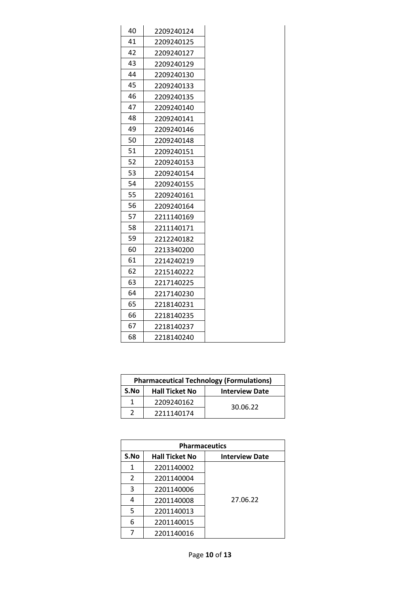| 40 | 2209240124 |
|----|------------|
| 41 | 2209240125 |
| 42 | 2209240127 |
| 43 | 2209240129 |
| 44 | 2209240130 |
| 45 | 2209240133 |
| 46 | 2209240135 |
| 47 | 2209240140 |
| 48 | 2209240141 |
| 49 | 2209240146 |
| 50 | 2209240148 |
| 51 | 2209240151 |
| 52 | 2209240153 |
| 53 | 2209240154 |
| 54 | 2209240155 |
| 55 | 2209240161 |
| 56 | 2209240164 |
| 57 | 2211140169 |
| 58 | 2211140171 |
| 59 | 2212240182 |
| 60 | 2213340200 |
| 61 | 2214240219 |
| 62 | 2215140222 |
| 63 | 2217140225 |
| 64 | 2217140230 |
| 65 | 2218140231 |
| 66 | 2218140235 |
| 67 | 2218140237 |
| 68 | 2218140240 |
|    |            |

| <b>Pharmaceutical Technology (Formulations)</b> |                       |                       |
|-------------------------------------------------|-----------------------|-----------------------|
| S.No                                            | <b>Hall Ticket No</b> | <b>Interview Date</b> |
|                                                 | 2209240162            | 30.06.22              |
|                                                 | 2211140174            |                       |

| <b>Pharmaceutics</b> |                       |                       |
|----------------------|-----------------------|-----------------------|
| S.No                 | <b>Hall Ticket No</b> | <b>Interview Date</b> |
| 1                    | 2201140002            |                       |
| 2                    | 2201140004            |                       |
| 3                    | 2201140006            |                       |
| 4                    | 2201140008            | 27.06.22              |
| 5                    | 2201140013            |                       |
| 6                    | 2201140015            |                       |
|                      | 2201140016            |                       |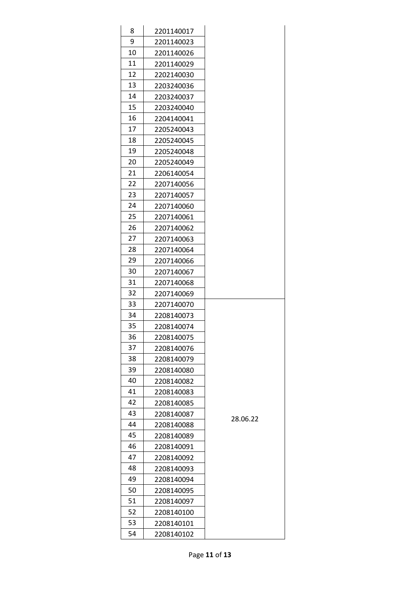| 8  | 2201140017 |          |
|----|------------|----------|
| 9  | 2201140023 |          |
| 10 | 2201140026 |          |
| 11 | 2201140029 |          |
| 12 | 2202140030 |          |
| 13 | 2203240036 |          |
| 14 | 2203240037 |          |
| 15 | 2203240040 |          |
| 16 | 2204140041 |          |
| 17 | 2205240043 |          |
| 18 | 2205240045 |          |
| 19 | 2205240048 |          |
| 20 | 2205240049 |          |
| 21 | 2206140054 |          |
| 22 | 2207140056 |          |
| 23 | 2207140057 |          |
| 24 | 2207140060 |          |
| 25 | 2207140061 |          |
| 26 | 2207140062 |          |
| 27 | 2207140063 |          |
| 28 | 2207140064 |          |
| 29 | 2207140066 |          |
| 30 | 2207140067 |          |
| 31 | 2207140068 |          |
| 32 | 2207140069 |          |
| 33 | 2207140070 |          |
| 34 | 2208140073 |          |
| 35 | 2208140074 |          |
| 36 | 2208140075 |          |
| 37 | 2208140076 |          |
| 38 | 2208140079 |          |
| 39 | 2208140080 |          |
| 40 | 2208140082 |          |
| 41 | 2208140083 |          |
| 42 | 2208140085 |          |
| 43 | 2208140087 | 28.06.22 |
| 44 | 2208140088 |          |
| 45 | 2208140089 |          |
| 46 | 2208140091 |          |
| 47 | 2208140092 |          |
| 48 | 2208140093 |          |
| 49 | 2208140094 |          |
| 50 | 2208140095 |          |
| 51 | 2208140097 |          |
| 52 | 2208140100 |          |
| 53 | 2208140101 |          |
| 54 | 2208140102 |          |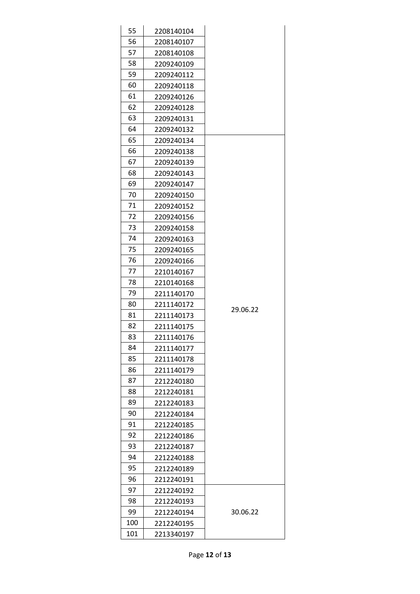| 55  | 2208140104 |          |
|-----|------------|----------|
| 56  | 2208140107 |          |
| 57  | 2208140108 |          |
| 58  | 2209240109 |          |
| 59  | 2209240112 |          |
| 60  | 2209240118 |          |
| 61  | 2209240126 |          |
| 62  | 2209240128 |          |
| 63  | 2209240131 |          |
| 64  | 2209240132 |          |
| 65  | 2209240134 |          |
| 66  | 2209240138 |          |
| 67  | 2209240139 |          |
| 68  | 2209240143 |          |
| 69  | 2209240147 |          |
| 70  | 2209240150 |          |
| 71  | 2209240152 |          |
| 72  | 2209240156 |          |
| 73  | 2209240158 |          |
| 74  | 2209240163 |          |
| 75  | 2209240165 |          |
| 76  | 2209240166 |          |
| 77  | 2210140167 |          |
| 78  | 2210140168 |          |
| 79  | 2211140170 |          |
| 80  | 2211140172 | 29.06.22 |
| 81  | 2211140173 |          |
| 82  | 2211140175 |          |
| 83  | 2211140176 |          |
| 84  | 2211140177 |          |
| 85  | 2211140178 |          |
| 86  | 2211140179 |          |
| 87  | 2212240180 |          |
| 88  | 2212240181 |          |
| 89  | 2212240183 |          |
| 90  | 2212240184 |          |
| 91  | 2212240185 |          |
| 92  | 2212240186 |          |
| 93  | 2212240187 |          |
| 94  | 2212240188 |          |
| 95  | 2212240189 |          |
| 96  | 2212240191 |          |
| 97  | 2212240192 |          |
| 98  | 2212240193 |          |
| 99  | 2212240194 | 30.06.22 |
| 100 | 2212240195 |          |
| 101 | 2213340197 |          |